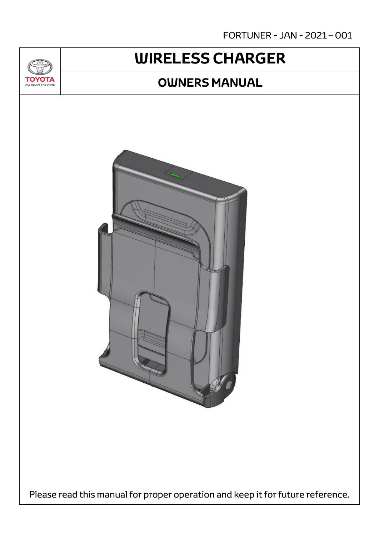FORTUNER - JAN - 2021 – 001

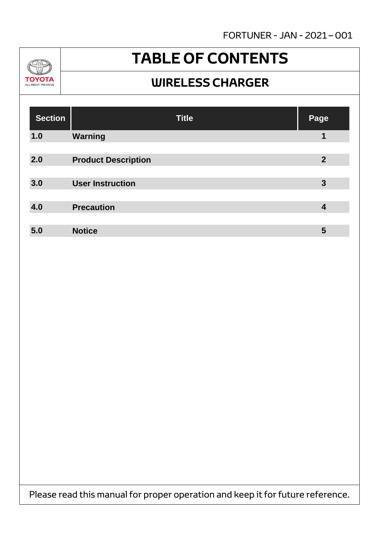FORTUNER - JAN - 2021 – 001



### **TABLE OF CONTENTS**

#### **WIRELESS CHARGER**

| <b>Section</b> | <b>Title</b>               | Page           |
|----------------|----------------------------|----------------|
| 1.0            | Warning                    | 1              |
|                |                            |                |
| 2.0            | <b>Product Description</b> | $\overline{2}$ |
|                |                            |                |
| 3.0            | <b>User Instruction</b>    | 3              |
|                |                            |                |
| 4.0            | <b>Precaution</b>          | 4              |
|                |                            |                |
| 5.0            | <b>Notice</b>              | 5              |

Please read this manual for proper operation and keep it for future reference.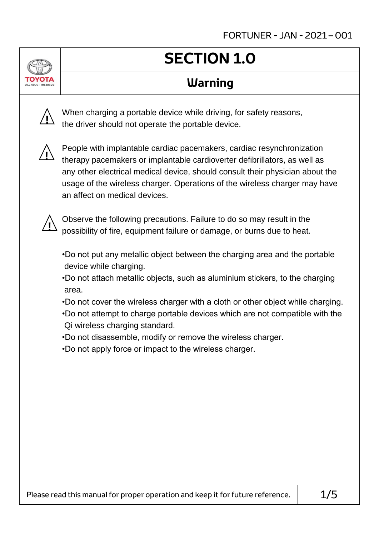## **SECTION 1.0**

### **Warning**



When charging a portable device while driving, for safety reasons, the driver should not operate the portable device.



People with implantable cardiac pacemakers, cardiac resynchronization therapy pacemakers or implantable cardioverter defibrillators, as well as any other electrical medical device, should consult their physician about the usage of the wireless charger. Operations of the wireless charger may have an affect on medical devices.



Observe the following precautions. Failure to do so may result in the possibility of fire, equipment failure or damage, or burns due to heat.

•Do not put any metallic object between the charging area and the portable device while charging.

- •Do not attach metallic objects, such as aluminium stickers, to the charging area.
- •Do not cover the wireless charger with a cloth or other object while charging.
- •Do not attempt to charge portable devices which are not compatible with the Qi wireless charging standard.
- •Do not disassemble, modify or remove the wireless charger.
- •Do not apply force or impact to the wireless charger.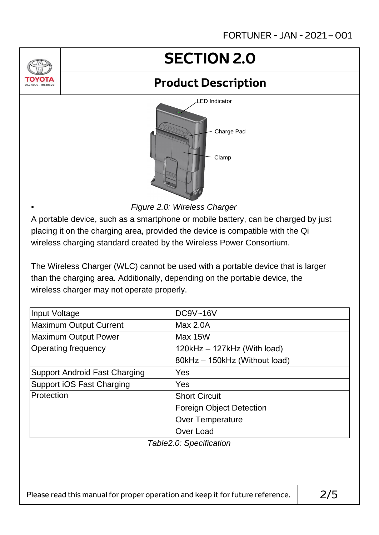# **SECTION 2.0**

### **Product Description**



*Figure 2.0: Wireless Charger*

•

A portable device, such as a smartphone or mobile battery, can be charged by just placing it on the charging area, provided the device is compatible with the Qi wireless charging standard created by the Wireless Power Consortium.

The Wireless Charger (WLC) cannot be used with a portable device that is larger than the charging area. Additionally, depending on the portable device, the wireless charger may not operate properly.

| Input Voltage                        | <b>DC9V~16V</b>                 |  |  |  |  |
|--------------------------------------|---------------------------------|--|--|--|--|
| <b>Maximum Output Current</b>        | Max 2.0A                        |  |  |  |  |
| <b>Maximum Output Power</b>          | Max 15W                         |  |  |  |  |
| Operating frequency                  | 120kHz - 127kHz (With load)     |  |  |  |  |
|                                      | 80kHz - 150kHz (Without load)   |  |  |  |  |
| <b>Support Android Fast Charging</b> | Yes                             |  |  |  |  |
| <b>Support iOS Fast Charging</b>     | Yes                             |  |  |  |  |
| Protection                           | <b>Short Circuit</b>            |  |  |  |  |
|                                      | <b>Foreign Object Detection</b> |  |  |  |  |
|                                      | <b>Over Temperature</b>         |  |  |  |  |
|                                      | Over Load                       |  |  |  |  |
| Table2.0: Specification              |                                 |  |  |  |  |
|                                      |                                 |  |  |  |  |
|                                      |                                 |  |  |  |  |
|                                      |                                 |  |  |  |  |
|                                      |                                 |  |  |  |  |

Please read this manual for proper operation and keep it for future reference.  $\vert$  2/5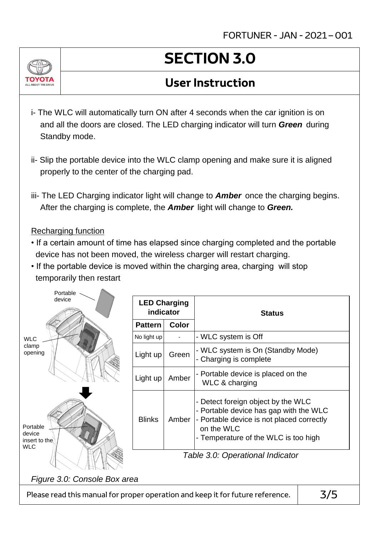

#### **User Instruction**

- i- The WLC will automatically turn ON after 4 seconds when the car ignition is on and all the doors are closed. The LED charging indicator will turn *Green* during Standby mode.
- ii- Slip the portable device into the WLC clamp opening and make sure it is aligned properly to the center of the charging pad.
- iii- The LED Charging indicator light will change to *Amber* once the charging begins. After the charging is complete, the *Amber* light will change to *Green.*

#### Recharging function

- If a certain amount of time has elapsed since charging completed and the portable device has not been moved, the wireless charger will restart charging.
- If the portable device is moved within the charging area, charging will stop temporarily then restart

| Portable                                                                       |                                  |              |                                                                                                                                                                                 |  |  |  |  |
|--------------------------------------------------------------------------------|----------------------------------|--------------|---------------------------------------------------------------------------------------------------------------------------------------------------------------------------------|--|--|--|--|
| device                                                                         | <b>LED Charging</b><br>indicator |              | <b>Status</b>                                                                                                                                                                   |  |  |  |  |
|                                                                                | <b>Pattern</b>                   | <b>Color</b> |                                                                                                                                                                                 |  |  |  |  |
| <b>WLC</b>                                                                     | No light up                      |              | - WLC system is Off                                                                                                                                                             |  |  |  |  |
| clamp<br>opening                                                               | Light up                         | Green        | - WLC system is On (Standby Mode)<br>- Charging is complete                                                                                                                     |  |  |  |  |
|                                                                                | Light up                         | Amber        | - Portable device is placed on the<br>WLC & charging                                                                                                                            |  |  |  |  |
| Portable<br>device<br>insert to the<br><b>WLC</b>                              | <b>Blinks</b>                    | Amber        | - Detect foreign object by the WLC<br>- Portable device has gap with the WLC<br>- Portable device is not placed correctly<br>on the WLC<br>- Temperature of the WLC is too high |  |  |  |  |
|                                                                                | Table 3.0: Operational Indicator |              |                                                                                                                                                                                 |  |  |  |  |
| Figure 3.0: Console Box area                                                   |                                  |              |                                                                                                                                                                                 |  |  |  |  |
| Please read this manual for proper operation and keep it for future reference. | 3/5                              |              |                                                                                                                                                                                 |  |  |  |  |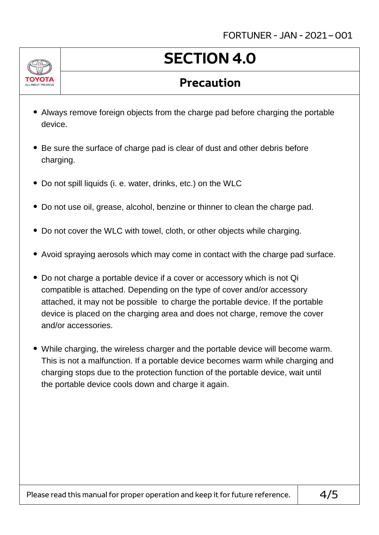FORTUNER - JAN - 2021 – 001



## **SECTION 4.0**

#### **Precaution**

- Always remove foreign objects from the charge pad before charging the portable device.
- Be sure the surface of charge pad is clear of dust and other debris before charging.
- Do not spill liquids (i. e. water, drinks, etc.) on the WLC
- Do not use oil, grease, alcohol, benzine or thinner to clean the charge pad.
- Do not cover the WLC with towel, cloth, or other objects while charging.
- Avoid spraying aerosols which may come in contact with the charge pad surface.
- Do not charge a portable device if a cover or accessory which is not Qi compatible is attached. Depending on the type of cover and/or accessory attached, it may not be possible to charge the portable device. If the portable device is placed on the charging area and does not charge, remove the cover and/or accessories.
- While charging, the wireless charger and the portable device will become warm. This is not a malfunction. If a portable device becomes warm while charging and charging stops due to the protection function of the portable device, wait until the portable device cools down and charge it again.